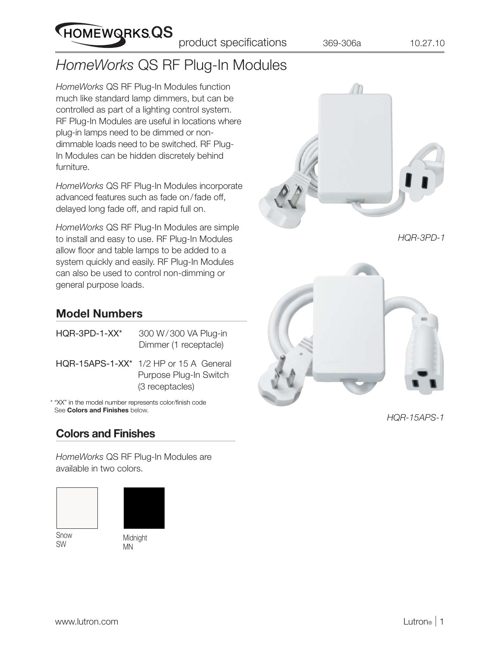# *HomeWorks* QS RF Plug-In Modules

*HomeWorks* QS RF Plug-In Modules function much like standard lamp dimmers, but can be controlled as part of a lighting control system. RF Plug-In Modules are useful in locations where plug-in lamps need to be dimmed or nondimmable loads need to be switched. RF Plug-In Modules can be hidden discretely behind furniture.

HOMEWORKSQS

*HomeWorks* QS RF Plug-In Modules incorporate advanced features such as fade on / fade off, delayed long fade off, and rapid full on.

*HomeWorks* QS RF Plug-In Modules are simple to install and easy to use. RF Plug-In Modules allow floor and table lamps to be added to a system quickly and easily. RF Plug-In Modules can also be used to control non-dimming or general purpose loads.



*HQR-3PD-1*



*HQR-15APS-1*

## **Model Numbers**

| $HQR-3PD-1-XX*$                                       | 300 W/300 VA Plug-in<br>Dimmer (1 receptacle)                                          |  |  |  |
|-------------------------------------------------------|----------------------------------------------------------------------------------------|--|--|--|
|                                                       | $HQR-15APS-1-XX^*$ 1/2 HP or 15 A General<br>Purpose Plug-In Switch<br>(3 receptacles) |  |  |  |
| "YY" in the model number represents color/finish code |                                                                                        |  |  |  |

\* "XX" in the model number represents color/finish code See **Colors and Finishes** below.

# **Colors and Finishes**

*HomeWorks* QS RF Plug-In Modules are available in two colors.



Snow SW



Midnight MN

www.lutron.com **Lutron**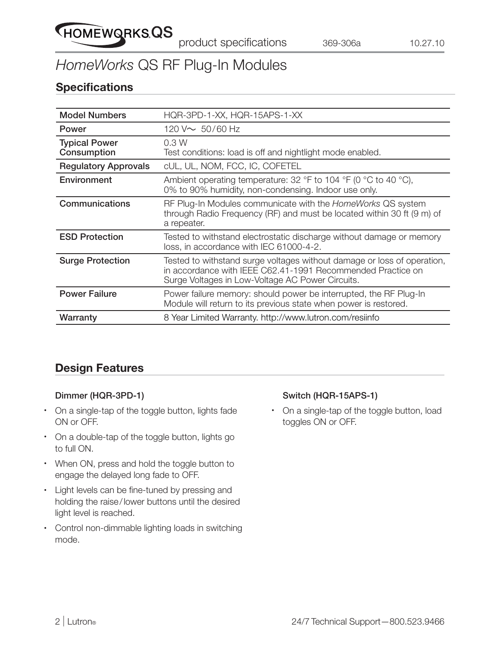

# *HomeWorks* QS RF Plug-In Modules

## **Specifications**

| <b>Model Numbers</b>                | HQR-3PD-1-XX, HQR-15APS-1-XX                                                                                                                                                               |  |
|-------------------------------------|--------------------------------------------------------------------------------------------------------------------------------------------------------------------------------------------|--|
| Power                               | 120 V $\sim 50/60$ Hz                                                                                                                                                                      |  |
| <b>Typical Power</b><br>Consumption | 0.3W<br>Test conditions: load is off and nightlight mode enabled.                                                                                                                          |  |
| <b>Regulatory Approvals</b>         | cUL, UL, NOM, FCC, IC, COFETEL                                                                                                                                                             |  |
| Environment                         | Ambient operating temperature: 32 °F to 104 °F (0 °C to 40 °C),<br>0% to 90% humidity, non-condensing. Indoor use only.                                                                    |  |
| Communications                      | RF Plug-In Modules communicate with the HomeWorks QS system<br>through Radio Frequency (RF) and must be located within 30 ft (9 m) of<br>a repeater.                                       |  |
| <b>ESD Protection</b>               | Tested to withstand electrostatic discharge without damage or memory<br>loss, in accordance with IEC 61000-4-2.                                                                            |  |
| <b>Surge Protection</b>             | Tested to withstand surge voltages without damage or loss of operation,<br>in accordance with IEEE C62.41-1991 Recommended Practice on<br>Surge Voltages in Low-Voltage AC Power Circuits. |  |
| <b>Power Failure</b>                | Power failure memory: should power be interrupted, the RF Plug-In<br>Module will return to its previous state when power is restored.                                                      |  |
| Warranty                            | 8 Year Limited Warranty. http://www.lutron.com/resiinfo                                                                                                                                    |  |

# **Design Features**

#### **Dimmer (HQR-3PD-1)**

- **•** On a single-tap of the toggle button, lights fade ON or OFF.
- **•** On a double-tap of the toggle button, lights go to full ON.
- **•** When ON, press and hold the toggle button to engage the delayed long fade to OFF.
- Light levels can be fine-tuned by pressing and holding the raise / lower buttons until the desired light level is reached.
- **•** Control non-dimmable lighting loads in switching mode.

#### **Switch (HQR-15APS-1)**

**•** On a single-tap of the toggle button, load toggles ON or OFF.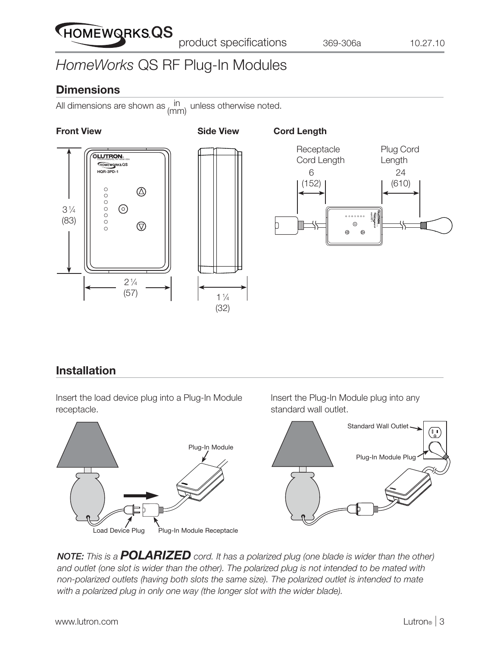# HOMEWORKS QS

# *HomeWorks* QS RF Plug-In Modules

## **Dimensions**

All dimensions are shown as  $\lim_{n \to \infty}$  unless otherwise noted. (mm)

#### **Front View Side View**





#### **Cord Length**



# **Installation**

Insert the load device plug into a Plug-In Module receptacle.



Insert the Plug-In Module plug into any standard wall outlet.



*NOTE: This is a POLARIZED cord. It has a polarized plug (one blade is wider than the other) and outlet (one slot is wider than the other). The polarized plug is not intended to be mated with non-polarized outlets (having both slots the same size). The polarized outlet is intended to mate with a polarized plug in only one way (the longer slot with the wider blade).*